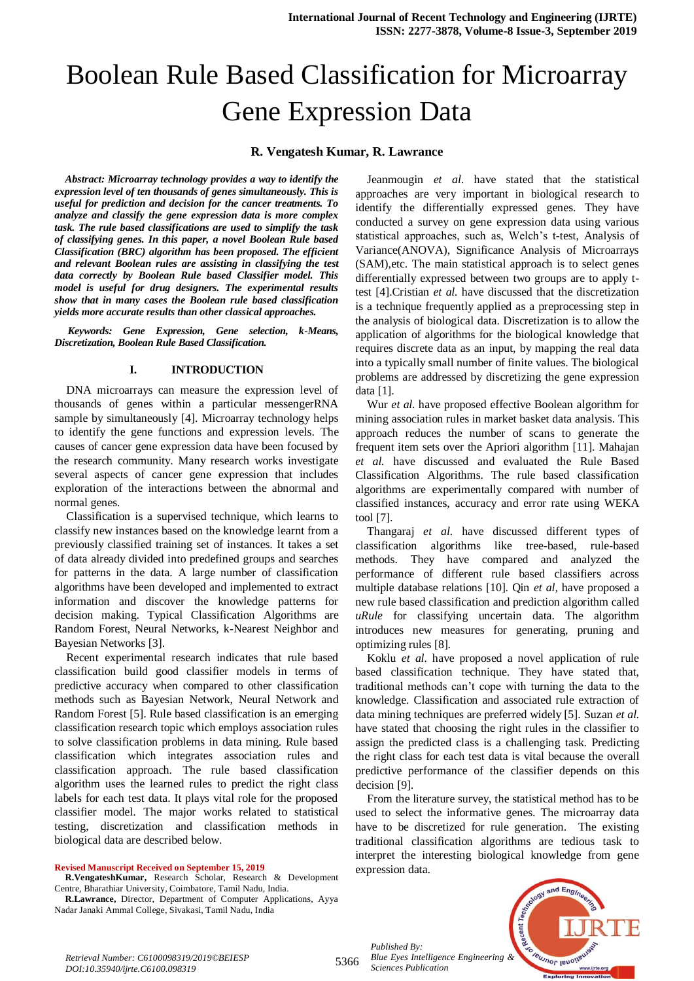# Boolean Rule Based Classification for Microarray Gene Expression Data

### **R. Vengatesh Kumar, R. Lawrance**

*Abstract: Microarray technology provides a way to identify the expression level of ten thousands of genes simultaneously. This is useful for prediction and decision for the cancer treatments. To analyze and classify the gene expression data is more complex task. The rule based classifications are used to simplify the task of classifying genes. In this paper, a novel Boolean Rule based Classification (BRC) algorithm has been proposed. The efficient and relevant Boolean rules are assisting in classifying the test data correctly by Boolean Rule based Classifier model. This model is useful for drug designers. The experimental results show that in many cases the Boolean rule based classification yields more accurate results than other classical approaches.*

*Keywords: Gene Expression, Gene selection, k-Means, Discretization, Boolean Rule Based Classification.*

#### **I. INTRODUCTION**

DNA microarrays can measure the expression level of thousands of genes within a particular messengerRNA sample by simultaneously [4]. Microarray technology helps to identify the gene functions and expression levels. The causes of cancer gene expression data have been focused by the research community. Many research works investigate several aspects of cancer gene expression that includes exploration of the interactions between the abnormal and normal genes.

Classification is a supervised technique, which learns to classify new instances based on the knowledge learnt from a previously classified training set of instances. It takes a set of data already divided into predefined groups and searches for patterns in the data. A large number of classification algorithms have been developed and implemented to extract information and discover the knowledge patterns for decision making. Typical Classification Algorithms are Random Forest, Neural Networks, k-Nearest Neighbor and Bayesian Networks [3].

Recent experimental research indicates that rule based classification build good classifier models in terms of predictive accuracy when compared to other classification methods such as Bayesian Network, Neural Network and Random Forest [5]. Rule based classification is an emerging classification research topic which employs association rules to solve classification problems in data mining. Rule based classification which integrates association rules and classification approach. The rule based classification algorithm uses the learned rules to predict the right class labels for each test data. It plays vital role for the proposed classifier model. The major works related to statistical testing, discretization and classification methods in biological data are described below.

**Revised Manuscript Received on September 15, 2019**

**R.Lawrance,** Director, Department of Computer Applications, Ayya Nadar Janaki Ammal College, Sivakasi, Tamil Nadu, India

Jeanmougin *et al*. have stated that the statistical approaches are very important in biological research to identify the differentially expressed genes. They have conducted a survey on gene expression data using various statistical approaches, such as, Welch's t-test, Analysis of Variance(ANOVA), Significance Analysis of Microarrays (SAM),etc. The main statistical approach is to select genes differentially expressed between two groups are to apply ttest [4].Cristian *et al.* have discussed that the discretization is a technique frequently applied as a preprocessing step in the analysis of biological data. Discretization is to allow the application of algorithms for the biological knowledge that requires discrete data as an input, by mapping the real data into a typically small number of finite values. The biological problems are addressed by discretizing the gene expression data [1].

Wur *et al.* have proposed effective Boolean algorithm for mining association rules in market basket data analysis. This approach reduces the number of scans to generate the frequent item sets over the Apriori algorithm [11]. Mahajan *et al.* have discussed and evaluated the Rule Based Classification Algorithms. The rule based classification algorithms are experimentally compared with number of classified instances, accuracy and error rate using WEKA tool [7].

Thangaraj *et al.* have discussed different types of classification algorithms like tree-based, rule-based methods. They have compared and analyzed the performance of different rule based classifiers across multiple database relations [10]. Qin *et al,* have proposed a new rule based classification and prediction algorithm called *uRule* for classifying uncertain data. The algorithm introduces new measures for generating, pruning and optimizing rules [8].

Koklu *et al.* have proposed a novel application of rule based classification technique. They have stated that, traditional methods can't cope with turning the data to the knowledge. Classification and associated rule extraction of data mining techniques are preferred widely [5]. Suzan *et al.*  have stated that choosing the right rules in the classifier to assign the predicted class is a challenging task. Predicting the right class for each test data is vital because the overall predictive performance of the classifier depends on this decision [9].

From the literature survey, the statistical method has to be used to select the informative genes. The microarray data have to be discretized for rule generation. The existing traditional classification algorithms are tedious task to interpret the interesting biological knowledge from gene expression data.

*Published By: Blue Eyes Intelligence Engineering & Sciences Publication* 



5366

**R.VengateshKumar,** Research Scholar, Research & Development Centre, Bharathiar University, Coimbatore, Tamil Nadu, India.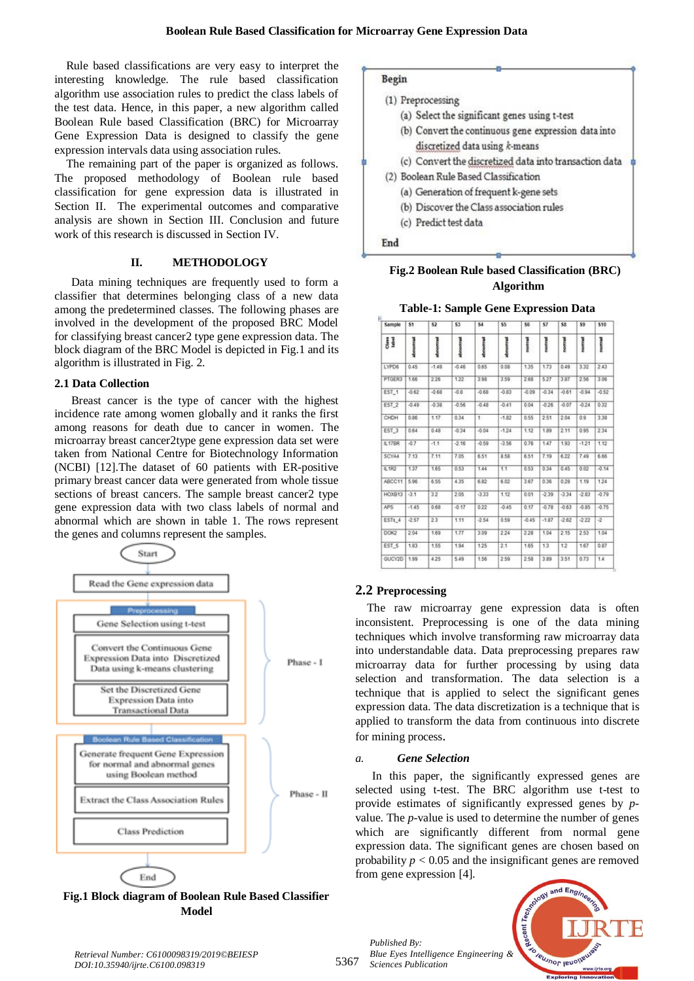Rule based classifications are very easy to interpret the interesting knowledge. The rule based classification algorithm use association rules to predict the class labels of the test data. Hence, in this paper, a new algorithm called Boolean Rule based Classification (BRC) for Microarray Gene Expression Data is designed to classify the gene expression intervals data using association rules.

The remaining part of the paper is organized as follows. The proposed methodology of Boolean rule based classification for gene expression data is illustrated in Section II. The experimental outcomes and comparative analysis are shown in Section III. Conclusion and future work of this research is discussed in Section IV.

# **II. METHODOLOGY**

Data mining techniques are frequently used to form a classifier that determines belonging class of a new data among the predetermined classes. The following phases are involved in the development of the proposed BRC Model for classifying breast cancer2 type gene expression data. The block diagram of the BRC Model is depicted in Fig.1 and its algorithm is illustrated in Fig. 2.

# **2.1 Data Collection**

Breast cancer is the type of cancer with the highest incidence rate among women globally and it ranks the first among reasons for death due to cancer in women. The microarray breast cancer2type gene expression data set were taken from National Centre for Biotechnology Information (NCBI) [12].The dataset of 60 patients with ER-positive primary breast cancer data were generated from whole tissue sections of breast cancers. The sample breast cancer2 type gene expression data with two class labels of normal and abnormal which are shown in table 1. The rows represent the genes and columns represent the samples.



**Fig.1 Block diagram of Boolean Rule Based Classifier Model**



# **Fig.2 Boolean Rule based Classification (BRC) Algorithm**

**Table-1: Sample Gene Expression Data** 

| Sample           | S1       | 52       | \$3        | \$4            | \$5      | \$6     | \$7     | \$8     | S9      | \$10           |
|------------------|----------|----------|------------|----------------|----------|---------|---------|---------|---------|----------------|
| Class<br>Isbel   | donormal | shmormal | storocrass | <b>shoppal</b> | steroman | nomual  | nomul   | nomul   | nommal  | mornwal        |
| LYPD6            | 0.45     | $-1.49$  | $-0.46$    | 0.65           | 0.08     | 1.35    | 1.73    | 0.49    | 3.32    | 2.43           |
| PTGER3           | 1.66     | 2.26     | 1.22       | 3.98           | 3.59     | 2.68    | 5.27    | 3.87    | 2.56    | 3.06           |
| EST <sub>1</sub> | $-0.62$  | $-0.68$  | $-0.8$     | $-0.68$        | $-0.83$  | $-0.09$ | $-0.34$ | $-0.61$ | $-0.94$ | $-0.52$        |
| EST_2            | $-0.49.$ | $-0.38$  | $-0.56$    | $-0.48$        | $-0.41$  | 0.04    | $-0.26$ | $-0.07$ | $-0.24$ | 0.32           |
| CHDH             | 0.86     | 1.17     | 0.34       | $\mathbf{1}$   | $-1.82$  | 0.55    | 251     | 2.04    | 0.9     | 3.38           |
| EST_3            | 0.64     | 0.48     | $-0.34$    | $-0.04$        | $-1.24$  | 1.12    | 1.89    | 2.11    | 0.95    | 234            |
| <b>IL17BR</b>    | $-0.7$   | $-1.1$   | $-2.16$    | $-0.59$        | $-3.56$  | 0.76    | 1.47    | 193     | $-1.21$ | 1.12           |
| SCYA4            | 7.13     | 7.11     | 7.05       | 6.51           | 8.58     | 6.51    | 7.19    | 6.22    | 7.49    | 6.66           |
| <b>IL1R2</b>     | 1.37     | 1.65     | 0.53       | 1.44           | 1.1      | 0.53    | 0.34    | 0.45    | 0.02    | $-0.14$        |
| ABCC11           | 5.96     | 6.55     | 4.35       | 6.82           | 6.02     | 3.67    | 0.36    | 0.28    | 1.19    | 1.24           |
| HOXB13           | $-3.1$   | 32       | 2.05       | $-3.33$        | 1.12     | 0.01    | $-2.39$ | $-3.34$ | $-2.83$ | $-0.79$        |
| APS              | $-1.45$  | 0.68     | $-0.17$    | 0.22           | $-0.45$  | 0.17    | $-0.78$ | $-0.63$ | $-0.85$ | $-0.75$        |
| ESTs_4           | $-2.57$  | 23       | 1.11       | $-2.54$        | 0.59     | $-0.45$ | $-1.87$ | $-2.62$ | $-222$  | $\overline{2}$ |
| DOK2             | 2.04     | 1.69     | 1.77       | 3.09           | 2.24     | 228     | 1.04    | 2.15    | 2.53    | 1.04           |
| EST 5            | 1.83     | 1.55     | 1.94       | 1.25           | 2.1      | 1.65    | 1.3     | 12      | 1.67    | 0.87           |
| GUCY2D           | 1.99     | 4.25     | 5.49       | 1.56           | 2.59     | 2.58    | 3.89    | 3.51    | 0.73    | 1.4            |

# **2.2 Preprocessing**

The raw microarray gene expression data is often inconsistent. Preprocessing is one of the data mining techniques which involve transforming raw microarray data into understandable data. Data preprocessing prepares raw microarray data for further processing by using data selection and transformation. The data selection is a technique that is applied to select the significant genes expression data. The data discretization is a technique that is applied to transform the data from continuous into discrete for mining process.

# *a. Gene Selection*

In this paper, the significantly expressed genes are selected using t-test. The BRC algorithm use t-test to provide estimates of significantly expressed genes by *p*value. The *p*-value is used to determine the number of genes which are significantly different from normal gene expression data. The significant genes are chosen based on probability  $p < 0.05$  and the insignificant genes are removed from gene expression [4].



*Retrieval Number: C6100098319/2019©BEIESP DOI:10.35940/ijrte.C6100.098319*

*Published By:*

*Sciences Publication*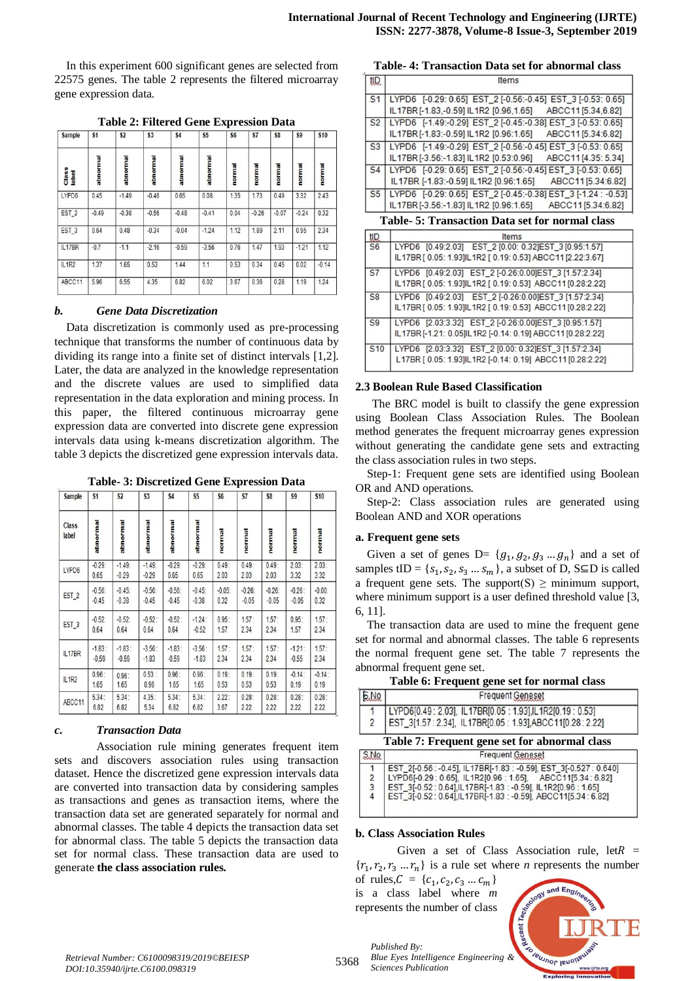In this experiment 600 significant genes are selected from 22575 genes. The table 2 represents the filtered microarray gene expression data.

| Sample           | S <sub>1</sub> | S <sub>2</sub> | S <sub>3</sub> | \$4      | <b>S5</b> | S <sub>6</sub> | S7      | S8      | \$9     | <b>S10</b> |
|------------------|----------------|----------------|----------------|----------|-----------|----------------|---------|---------|---------|------------|
| Class<br>Iabel   | abnormal       | abnormal       | abnormal       | abnormal | abnormal  | normal         | normal  | normal  | normal  | normal     |
| LYPD6            | 0.45           | $-1.49$        | $-0.46$        | 0.65     | 0.08      | 1.35           | 1.73    | 0.49    | 3.32    | 2.43       |
| EST <sub>2</sub> | $-0.49$        | $-0.38$        | $-0.56$        | $-0.48$  | $-0.41$   | 0.04           | $-0.26$ | $-0.07$ | $-0.24$ | 0.32       |
| EST <sub>3</sub> | 0.64           | 0.48           | $-0.34$        | $-0.04$  | $-1.24$   | 1.12           | 1.89    | 2.11    | 0.95    | 2.34       |
| IL17BR           | $-0.7$         | $-1.1$         | $-2.16$        | $-0.59$  | $-3.56$   | 0.76           | 1.47    | 1.93    | $-1.21$ | 1.12       |
| IL1R2            | 1.37           | 1.65           | 0.53           | 1.44     | 1.1       | 0.53           | 0.34    | 0.45    | 0.02    | $-0.14$    |
| ABCC11           | 5.96           | 6.55           | 4.35           | 6.82     | 6.02      | 3.67           | 0.36    | 0.28    | 1.19    | 1.24       |

#### *b. Gene Data Discretization*

Data discretization is commonly used as pre-processing technique that transforms the number of continuous data by dividing its range into a finite set of distinct intervals [1,2]. Later, the data are analyzed in the knowledge representation and the discrete values are used to simplified data representation in the data exploration and mining process. In this paper, the filtered continuous microarray gene expression data are converted into discrete gene expression intervals data using k-means discretization algorithm. The table 3 depicts the discretized gene expression intervals data.

**Table- 3: Discretized Gene Expression Data**

| Sample           | S <sub>1</sub> | S <sub>2</sub> | S <sub>3</sub> | <b>S4</b> | S <sub>5</sub> | S <sub>6</sub> | S7      | S8      | S9        | <b>S10</b> |
|------------------|----------------|----------------|----------------|-----------|----------------|----------------|---------|---------|-----------|------------|
| Class<br>label   | abnormal       | abnormal       | abnormal       | abnormal  | abnormal       | normal         | normal  | normal  | normal    | normal     |
| LYPD6            | $-0.29$        | $-1.49$        | $-1.49$        | $-0.29$   | $-0.29$        | 0.49:          | 0.49:   | 0.49:   | 2.03:     | 2.03:      |
|                  | 0.65           | $-0.29$        | $-0.29$        | 0.65      | 0.65           | 2.03           | 2.03    | 2.03    | 3.32      | 3.32       |
| EST <sub>2</sub> | $-0.56$        | $-0.45$        | $-0.56$        | $-0.56$   | $-0.45$        | $-0.05$        | $-0.26$ | $-0.26$ | $-0.26$ : | $-0.00$    |
|                  | $-0.45$        | $-0.38$        | $-0.45$        | $-0.45$   | $-0.38$        | 0.32           | $-0.05$ | $-0.05$ | $-0.05$   | 0.32       |
| EST_3            | $-0.52$        | $-0.52$        | $-0.52:$       | $-0.52:$  | $-1.24$ :      | 0.95:          | 1.57:   | 1.57:   | 0.95:     | 1.57:      |
|                  | 0.64           | 0.64           | 0.64           | 0.64      | $-0.52$        | 1.57           | 2.34    | 2.34    | 1.57      | 2.34       |
| IL17BR           | $-1.83:$       | $-1.83:$       | $-3.56$ :      | $-1.83:$  | $-3.56:$       | 1.57:          | 1.57:   | 1.57:   | $-1.21$ : | 1.57:      |
|                  | $-0.59$        | $-0.59$        | $-1.83$        | $-0.59$   | $-1.83$        | 2.34           | 2.34    | 2.34    | $-0.55$   | 2.34       |
| IL1R2            | 0.96:          | 0.96:          | 0.53:          | 0.96:     | 0.96:          | 0.19:          | 0.19:   | 0.19:   | $-0.14$ : | $-0.14$ :  |
|                  | 1.65           | 1.65           | 0.96           | 1.65      | 1.65           | 0.53           | 0.53    | 0.53    | 0.19      | 0.19       |
| ABCC11           | 5.34:          | 5.34:          | 4.35:          | 5.34:     | 5.34:          | 2.22:          | 0.28:   | 0.28:   | 0.28:     | 0.28:      |
|                  | 6.82           | 6.82           | 5.34           | 6.82      | 6.82           | 3.67           | 2.22    | 2.22    | 2.22      | 2.22       |

#### *c. Transaction Data*

Association rule mining generates frequent item sets and discovers association rules using transaction dataset. Hence the discretized gene expression intervals data are converted into transaction data by considering samples as transactions and genes as transaction items, where the transaction data set are generated separately for normal and abnormal classes. The table 4 depicts the transaction data set for abnormal class. The table 5 depicts the transaction data set for normal class. These transaction data are used to generate **the class association rules.**

|                 | Table- 4. Transaction Data set for abliofinal class            |
|-----------------|----------------------------------------------------------------|
| tIQ.            | Items                                                          |
| S <sub>1</sub>  | LYPD6 [-0.29: 0.65] EST_2 [-0.56:-0.45] EST_3 [-0.53: 0.65]    |
|                 | IL17BR [-1.83, -0.59] IL1R2 [0.96, 1.65]<br>ABCC11 [5.34,6.82] |
| S <sub>2</sub>  | LYPD6 [-1.49:-0.29] EST_2 [-0.45:-0.38] EST_3 [-0.53: 0.65]    |
|                 | IL17BR [-1.83:-0.59] IL1R2 [0.96:1.65]<br>ABCC11 [5.34:6.82]   |
| S <sub>3</sub>  | LYPD6 [-1.49:-0.29] EST_2 [-0.56:-0.45] EST_3 [-0.53: 0.65]    |
|                 | IL17BR [-3.56:-1.83] IL1R2 [0.53:0.96]<br>ABCC11 [4.35: 5.34]  |
| S <sub>4</sub>  | LYPD6 [-0.29: 0.65] EST 2 [-0.56:-0.45] EST 3 [-0.53: 0.65]    |
|                 | IL17BR [-1.83:-0.59] IL1R2 [0.96:1.65]<br>ABCC11 [5.34:6.82]   |
| S <sub>5</sub>  | LYPD6 [-0.29: 0.65] EST 2 [-0.45:-0.38] EST 3 [-1.24 : -0.53]  |
|                 | IL17BR [-3.56:-1.83] IL1R2 [0.96:1.65]<br>ABCC11 [5.34:6.82]   |
|                 | <b>Table- 5: Transaction Data set for normal class</b>         |
| tID.            | Items                                                          |
| S <sub>6</sub>  | LYPD6 [0.49:2.03] EST_2 [0.00: 0.32]EST_3 [0.95:1.57]          |
|                 | IL17BR [ 0.05: 1.93]IL1R2 [ 0.19: 0.53] ABCC11 [2.22:3.67]     |
| S7              | LYPD6 [0.49:2.03] EST 2 [-0.26:0.00]EST 3 [1.57:2.34]          |
|                 | IL17BR [ 0.05: 1.93]IL1R2 [ 0.19: 0.53] ABCC11 [0.28:2.22]     |
| S <sub>8</sub>  | LYPD6 [0.49:2.03] EST_2 [-0.26:0.00]EST_3 [1.57:2.34]          |
|                 | IL17BR [ 0.05: 1.93]IL1R2 [ 0.19: 0.53] ABCC11 [0.28:2.22]     |
| S9              | LYPD6 [2.03:3.32] EST 2 [-0.26:0.00]EST 3 [0.95:1.57]          |
|                 | IL17BR [-1.21: 0.05]IL1R2 [-0.14: 0.19] ABCC11 [0.28:2.22]     |
| S <sub>10</sub> | LYPD6 [2.03:3.32] EST 2 [0.00: 0.32]EST 3 [1.57:2.34]          |
|                 | L17BR [ 0.05: 1.93]IL1R2 [-0.14: 0.19] ABCC11 [0.28:2.22]      |
|                 |                                                                |

#### **2.3 Boolean Rule Based Classification**

The BRC model is built to classify the gene expression using Boolean Class Association Rules. The Boolean method generates the frequent microarray genes expression without generating the candidate gene sets and extracting the class association rules in two steps.

Step-1: Frequent gene sets are identified using Boolean OR and AND operations.

Step-2: Class association rules are generated using Boolean AND and XOR operations

#### **a. Frequent gene sets**

Given a set of genes  $D = \{g_1, g_2, g_3, \ldots, g_n\}$  and a set of samples tID =  $\{s_1, s_2, s_3 ... s_m\}$ , a subset of D, S $\subseteq$ D is called a frequent gene sets. The support(S)  $\geq$  minimum support, where minimum support is a user defined threshold value [3, 6, 11].

The transaction data are used to mine the frequent gene set for normal and abnormal classes. The table 6 represents the normal frequent gene set. The table 7 represents the abnormal frequent gene set.

| Table 6: Frequent gene set for normal class |  |
|---------------------------------------------|--|
|---------------------------------------------|--|

| 5NQ | <b>Frequent Geneset</b>                                                                                             |
|-----|---------------------------------------------------------------------------------------------------------------------|
|     |                                                                                                                     |
|     | LYPD6[0.49: 2.03], IL17BR[0.05: 1.93],IL1R2[0.19: 0.53]<br>EST_3[1.57: 2.34], IL17BR[0.05: 1.93],ABCC11[0.28: 2.22] |
|     | Table 7: Frequent gene set for abnormal class                                                                       |

| S.No           | <b>Frequent Geneset</b>                                                                                                            |
|----------------|------------------------------------------------------------------------------------------------------------------------------------|
|                | EST_2[-0.56 : -0.45], IL17BR[-1.83 : -0.59], EST_3[-0.527 : 0.640]<br>LYPD6[-0.29 : 0.65], IL1R2[0.96 : 1.65], ABCC11[5.34 : 6.82] |
| $\overline{2}$ |                                                                                                                                    |
| 3              | EST_3[-0.52 : 0.64] IL17BR[-1.83 : -0.59], IL1R2[0.96 : 1.65]<br>EST_3[-0.52 : 0.64] IL17BR[-1.83 : -0.59], ABCC11[5.34 : 6.82]    |
| 4              |                                                                                                                                    |
|                |                                                                                                                                    |

#### **b. Class Association Rules**

Given a set of Class Association rule, let  $R =$  $\{r_1, r_2, r_3, \ldots, r_n\}$  is a rule set where *n* represents the number

of rules,  $C = \{c_1, c_2, c_3 ... c_m\}$ is a class label where *m* represents the number of class

*Published By:*

*Sciences Publication* 

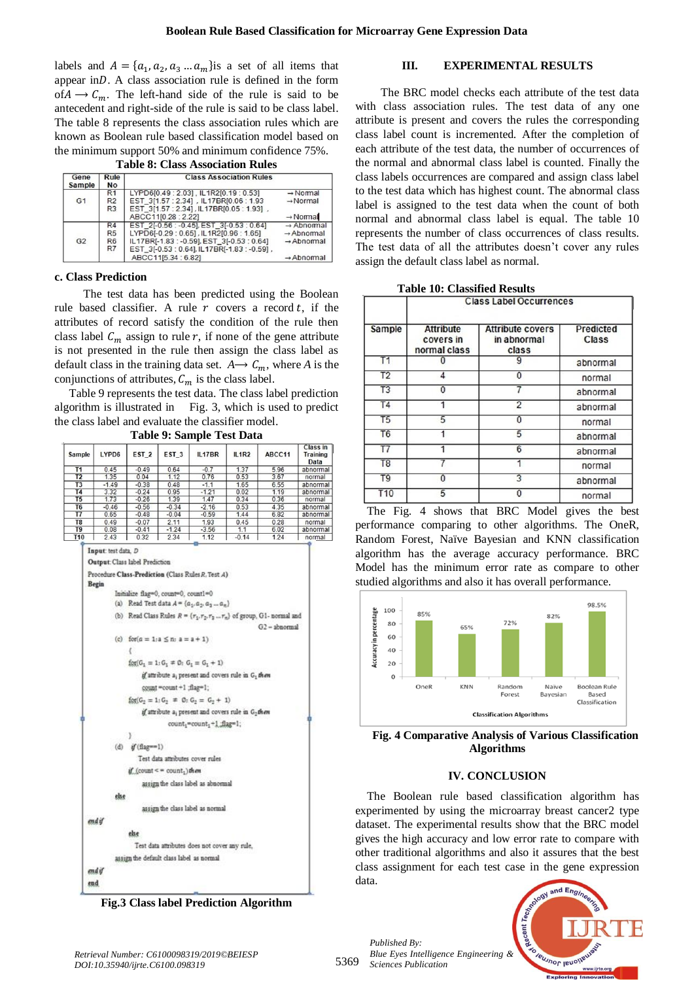labels and  $A = \{a_1, a_2, a_3 ... a_m\}$  is a set of all items that appear in $D$ . A class association rule is defined in the form of  $A \rightarrow C_m$ . The left-hand side of the rule is said to be antecedent and right-side of the rule is said to be class label. The table 8 represents the class association rules which are known as Boolean rule based classification model based on the minimum support 50% and minimum confidence 75%.

**Table 8: Class Association Rules**

| Gene<br><b>Sample</b> | Rule<br><b>No</b> | <b>Class Association Rules</b>              |                       |
|-----------------------|-------------------|---------------------------------------------|-----------------------|
|                       | R <sub>1</sub>    | LYPD6[0.49 : 2.03]. IL1R2[0.19 : 0.53]      | $\rightarrow$ Normal  |
| G <sub>1</sub>        | R2                | EST 3[1.57 : 2.34] , IL17BRI0.06 : 1.93     | $\rightarrow$ Normal  |
|                       | R <sub>3</sub>    | EST 3[1.57 : 2.34], IL17BR[0.05 : 1.93],    |                       |
|                       |                   | ABCC11[0.28: 2.22]                          | $\rightarrow$ Normal  |
|                       | R4                | EST 2[-0.56 : -0.45], EST 3[-0.53 : 0.64]   | $\rightarrow$ Abnomal |
|                       | R <sub>5</sub>    | LYPD6[-0.29:0.65], IL1R2[0.96:1.65]         | $\rightarrow$ Abnomal |
| G <sub>2</sub>        | R <sub>6</sub>    | IL17BR[-1.83 : -0.59], EST 3[-0.53 : 0.64]  | $\rightarrow$ Abnomal |
|                       | R7                | EST_3[-0.53 : 0.64], IL17BR[-1.83 : -0.59], |                       |
|                       |                   | ABCC11[5.34 : 6.82]                         | $\rightarrow$ Abnomal |

#### **c. Class Prediction**

 The test data has been predicted using the Boolean rule based classifier. A rule  $r$  covers a record  $t$ , if the attributes of record satisfy the condition of the rule then class label  $C_m$  assign to rule r, if none of the gene attribute is not presented in the rule then assign the class label as default class in the training data set.  $A \rightarrow C_m$ , where *A* is the conjunctions of attributes,  $C_m$  is the class label.

Table 9 represents the test data. The class label prediction algorithm is illustrated in Fig. 3, which is used to predict the class label and evaluate the classifier model.

**Table 9: Sample Test Data**

|                      |                                                                                                  |                                   | $\sim$ , $\sim$ . $\sim$                                                                                                                  |                                                                                                                                                                                                                                                                                                                                                                                                                                                                                                                                                                        |              |                                                                                                     |                              |
|----------------------|--------------------------------------------------------------------------------------------------|-----------------------------------|-------------------------------------------------------------------------------------------------------------------------------------------|------------------------------------------------------------------------------------------------------------------------------------------------------------------------------------------------------------------------------------------------------------------------------------------------------------------------------------------------------------------------------------------------------------------------------------------------------------------------------------------------------------------------------------------------------------------------|--------------|-----------------------------------------------------------------------------------------------------|------------------------------|
| Sample               | LYPD6                                                                                            | EST <sub>2</sub>                  | EST <sub>3</sub>                                                                                                                          | IL17BR                                                                                                                                                                                                                                                                                                                                                                                                                                                                                                                                                                 | <b>IL1R2</b> | ABCC11                                                                                              | Class in<br>Training<br>Data |
| T1                   | 0.45                                                                                             | $-0.49$                           | 0.64                                                                                                                                      | $-0.7$                                                                                                                                                                                                                                                                                                                                                                                                                                                                                                                                                                 | 1.37         | 5.96                                                                                                | abnormal                     |
| T2                   | 1.35                                                                                             | 0.04                              | 1.12                                                                                                                                      | 0.76                                                                                                                                                                                                                                                                                                                                                                                                                                                                                                                                                                   | 0.53         | 3.67                                                                                                | normal                       |
| T <sub>3</sub>       | $-1.49$                                                                                          | $-0.38$                           | 0.48                                                                                                                                      | $-1.1$                                                                                                                                                                                                                                                                                                                                                                                                                                                                                                                                                                 | 1.65         | 6.55                                                                                                | abnormal                     |
| T4                   | 3.32                                                                                             | $-0.24$                           | 0.95                                                                                                                                      | $-1.21$                                                                                                                                                                                                                                                                                                                                                                                                                                                                                                                                                                | 0.02         | 1.19                                                                                                | abnormal                     |
| T5<br>T <sub>6</sub> | 1.73<br>$-0.46$                                                                                  | $-0.26$<br>$-0.56$                | 1.39<br>$-0.34$                                                                                                                           | 1.47<br>$-2.16$                                                                                                                                                                                                                                                                                                                                                                                                                                                                                                                                                        | 0.34<br>0.53 | 0.36<br>4.35                                                                                        | normal<br>abnormal           |
| T7                   | 0.65                                                                                             | $-0.48$                           | $-0.04$                                                                                                                                   | $-0.59$                                                                                                                                                                                                                                                                                                                                                                                                                                                                                                                                                                | 1.44         | 6.82                                                                                                | abnormal                     |
| T8                   | 0.49                                                                                             | $-0.07$                           | 2.11                                                                                                                                      | 1.93                                                                                                                                                                                                                                                                                                                                                                                                                                                                                                                                                                   | 0.45         | 0.28                                                                                                | normal                       |
| T9                   | 0.08                                                                                             | $-0.41$                           | $-1.24$                                                                                                                                   | $-3.56$                                                                                                                                                                                                                                                                                                                                                                                                                                                                                                                                                                | 1.1          | 6.02                                                                                                | abnormal                     |
| <b>T10</b>           | 2.43                                                                                             | 0.32                              | 2.34                                                                                                                                      | 1.12                                                                                                                                                                                                                                                                                                                                                                                                                                                                                                                                                                   | $-0.14$      | 1.24                                                                                                | normal                       |
|                      | Input: test data, D<br>Output: Class label Prediction<br>Begin<br>else<br>endif<br>end if<br>end | э<br>$(d)$ if $(flag==1)$<br>else | Initialize flag=0, count=0, count1=0<br>(c) $for(a = 1; a \le n; a = a + 1)$<br>count "count +1 :flag"1;<br>$if$ (count < = count, ) then | Procedure Class-Prediction (Class Rules R, Test A)<br>(a) Read Test data $A = \{a_1, a_2, a_3 \dots a_n\}$<br>$f_{\text{OPT}}(G_1 = 1; G_1 \neq \emptyset; G_1 = G_1 + 1)$<br>if attribute a, present and covers rule in G, then<br>$fct(G_2 = 1; G_2 = 0; G_2 = G_2 + 1)$<br>if attribute a present and covers rule in G-them<br>count,=count, +1 :flag=1;<br>Test data attributes cover rules<br>assign the class label as abnormal<br>assign the class label as normal<br>Test data attributes does not cover any rule.<br>assign the default class label as normal |              | (b) Read Class Rules $R = \{r_1, r_2, r_3 \ldots r_n\}$ of group, G1- normal and<br>$G2$ - abnormal |                              |

**Fig.3 Class label Prediction Algorithm**

# **III. EXPERIMENTAL RESULTS**

 The BRC model checks each attribute of the test data with class association rules. The test data of any one attribute is present and covers the rules the corresponding class label count is incremented. After the completion of each attribute of the test data, the number of occurrences of the normal and abnormal class label is counted. Finally the class labels occurrences are compared and assign class label to the test data which has highest count. The abnormal class label is assigned to the test data when the count of both normal and abnormal class label is equal. The table 10 represents the number of class occurrences of class results. The test data of all the attributes doesn't cover any rules assign the default class label as normal.

| Sample          | <b>Class Label Occurrences</b>                |                                                 |                    |
|-----------------|-----------------------------------------------|-------------------------------------------------|--------------------|
|                 | <b>Attribute</b><br>covers in<br>normal class | <b>Attribute covers</b><br>in abnormal<br>class | Predicted<br>Class |
| T <sub>1</sub>  |                                               |                                                 | abnormal           |
| T <sub>2</sub>  | 4                                             | n                                               | normal             |
| T <sub>3</sub>  | Ω                                             |                                                 | abnormal           |
| T <sub>4</sub>  |                                               | 2                                               | abnormal           |
| T <sub>5</sub>  | 5                                             | O                                               | normal             |
| T <sub>6</sub>  |                                               | 5                                               | abnormal           |
| $\overline{17}$ |                                               | 6                                               | abnormal           |
| T <sub>8</sub>  |                                               |                                                 | normal             |
| T <sub>9</sub>  | n                                             |                                                 | abnormal           |
| T <sub>10</sub> |                                               |                                                 | normal             |

The Fig. 4 shows that BRC Model gives the best performance comparing to other algorithms. The OneR, Random Forest, Naïve Bayesian and KNN classification algorithm has the average accuracy performance. BRC Model has the minimum error rate as compare to other studied algorithms and also it has overall performance.



**Fig. 4 Comparative Analysis of Various Classification Algorithms**

# **IV. CONCLUSION**

The Boolean rule based classification algorithm has experimented by using the microarray breast cancer2 type dataset. The experimental results show that the BRC model gives the high accuracy and low error rate to compare with other traditional algorithms and also it assures that the best class assignment for each test case in the gene expression data.  $F_{B}$